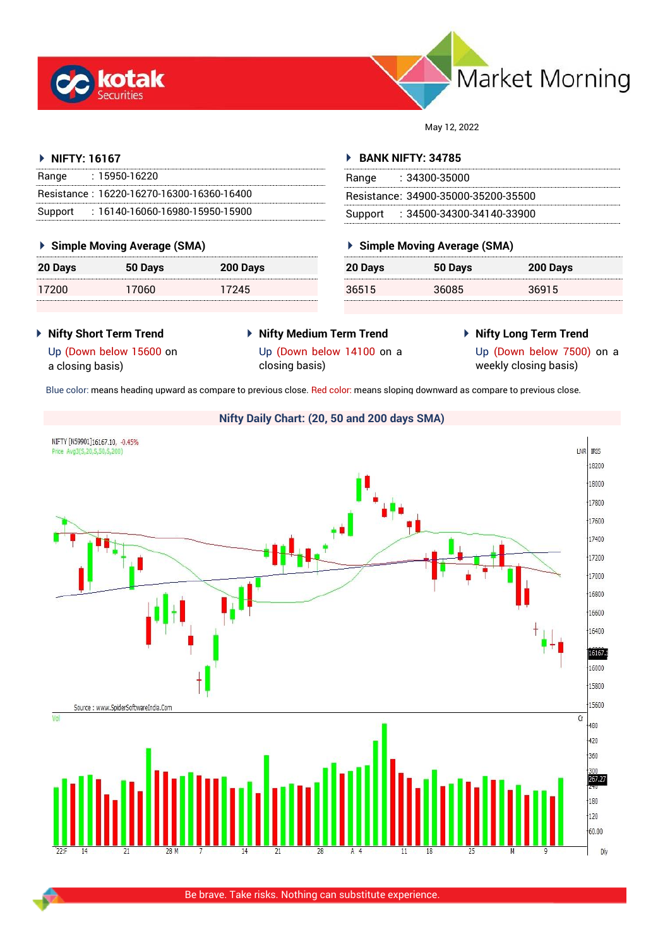



May 12, 2022

# **NIFTY: 16167**

| Range   | : 15950-16220                             |
|---------|-------------------------------------------|
|         | Resistance: 16220-16270-16300-16360-16400 |
| Support | $: 16140 - 16060 - 16980 - 15950 - 15900$ |

# **Simple Moving Average (SMA)**

| 20 Days | 50 Days | 200 Days |
|---------|---------|----------|
| 17200   | 17060   | 17245    |

# **BANK NIFTY: 34785**

| Range | - 34300-35000                       |
|-------|-------------------------------------|
|       | Besistance: 34900-35000-35200-35500 |
|       | Support: : 34500-34300-34140-33900  |

# **Simple Moving Average (SMA)**

| 20 Days | 50 Days | 200 Days |
|---------|---------|----------|
| 36515   | 36085   | 36915    |

- **Nifty Short Term Trend**
- **Nifty Medium Term Trend** Up (Down below 14100 on a
- **Nifty Long Term Trend**
- Up (Down below 15600 on a closing basis)
- closing basis)
- 

Up (Down below 7500) on a weekly closing basis)

Blue color: means heading upward as compare to previous close. Red color: means sloping downward as compare to previous close.

# **Nifty Daily Chart: (20, 50 and 200 days SMA)**



Be brave. Take risks. Nothing can substitute experience.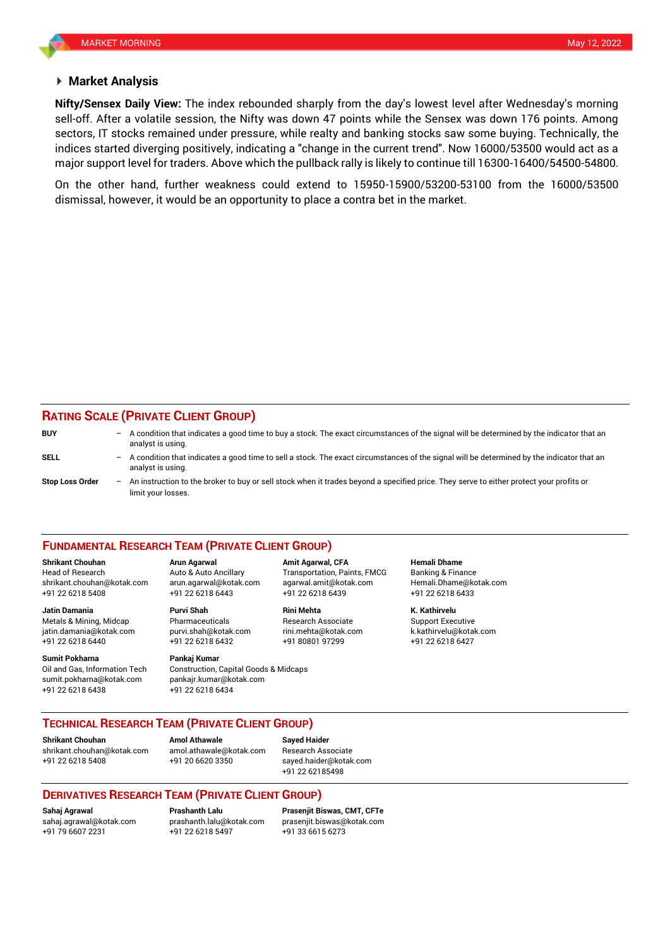## **Market Analysis**

sell-off. After a volatile session, the Nifty was down 47 points while the Sensex was down 176 points. Among **Nifty/Sensex Daily View:** The index rebounded sharply from the day's lowest level after Wednesday's morning sectors, IT stocks remained under pressure, while realty and banking stocks saw some buying. Technically, the indices started diverging positively, indicating a "change in the current trend". Now 16000/53500 would act as a major support level for traders. Above which the pullback rally is likely to continue till 16300-16400/54500-54800.

On the other hand, further weakness could extend to 15950-15900/53200-53100 from the 16000/53500 dismissal, however, it would be an opportunity to place a contra bet in the market.

# **RATING SCALE (PRIVATE CLIENT GROUP)**

| <b>BUY</b>             | $-$ A condition that indicates a good time to buy a stock. The exact circumstances of the signal will be determined by the indicator that an<br>analyst is using. |
|------------------------|-------------------------------------------------------------------------------------------------------------------------------------------------------------------|
| SELL                   | A condition that indicates a good time to sell a stock. The exact circumstances of the signal will be determined by the indicator that an<br>analyst is using.    |
| <b>Stop Loss Order</b> | An instruction to the broker to buy or sell stock when it trades beyond a specified price. They serve to either protect your profits or<br>limit your losses.     |

### **FUNDAMENTAL RESEARCH TEAM (PRIVATE CLIENT GROUP)**

**Shrikant Chouhan Arun Agarwal Amit Agarwal, CFA Hemali Dhame** Head of Research Auto & Auto Ancillary Transportation, Paints, FMCG Banking & Finance [shrikant.chouhan@kotak.com](mailto:shrikant.chouhan@kotak.com) arun.agarwal@kotak.com agarwal.amit@kotak.com Hemali.Dhame@kotak.com

**Jatin Damania Purvi Shah Rini Mehta K. Kathirvelu** Metals & Mining, Midcap **Pharmaceuticals** Research Associate Support Executive Research Associate jatin.damania@kotak.com [purvi.shah@kotak.com](mailto:purvi.shah@kotak.com) rini.mehta@kotak.com [k.kathirvelu@kotak.com](mailto:k.kathirvelu@kotak.com)

**Sumit Pokharna** Pankaj Kumar Oil and Gas, Information Tech Construction, Capital Goods & Midcaps sumit.pokharna@kotak.com pankajr.kumar@kotak.com

+91 22 6218 5408 +91 22 6218 6443 +91 22 6218 6439 +91 22 6218 6433

+91 22 6218 6440 +91 22 6218 6432 +91 80801 97299 +91 22 6218 6427

+91 22 6218 6438 +91 22 6218 6434

# **TECHNICAL RESEARCH TEAM (PRIVATE CLIENT GROUP)**

[shrikant.chouhan@kotak.com](mailto:shrikant.chouhan@kotak.com) [amol.athawale@kotak.com](mailto:amol.athawale@kotak.com) Research Associate +91 22 6218 5408 +91 20 6620 3350 [sayed.haider@kotak.com](mailto:sayed.haider@kotak.com)

**Shrikant Chouhan**<br>**Amol Athawale Athawale Chomes and athawale @kotak com Besearch Ass** 

+91 22 62185498

# **DERIVATIVES RESEARCH TEAM (PRIVATE CLIENT GROUP)**

+91 22 6218 5497 +91 33 6615 6273

**Sahaj Agrawal Prashanth Lalu Prasenjit Biswas, CMT, CFTe** [sahaj.agrawal@kotak.com](mailto:sahaj.agrawal@kotak.com) [prashanth.lalu@kotak.com](mailto:prashanth.lalu@kotak.com) [prasenjit.biswas@kotak.com](mailto:prasenjit.biswas@kotak.com)